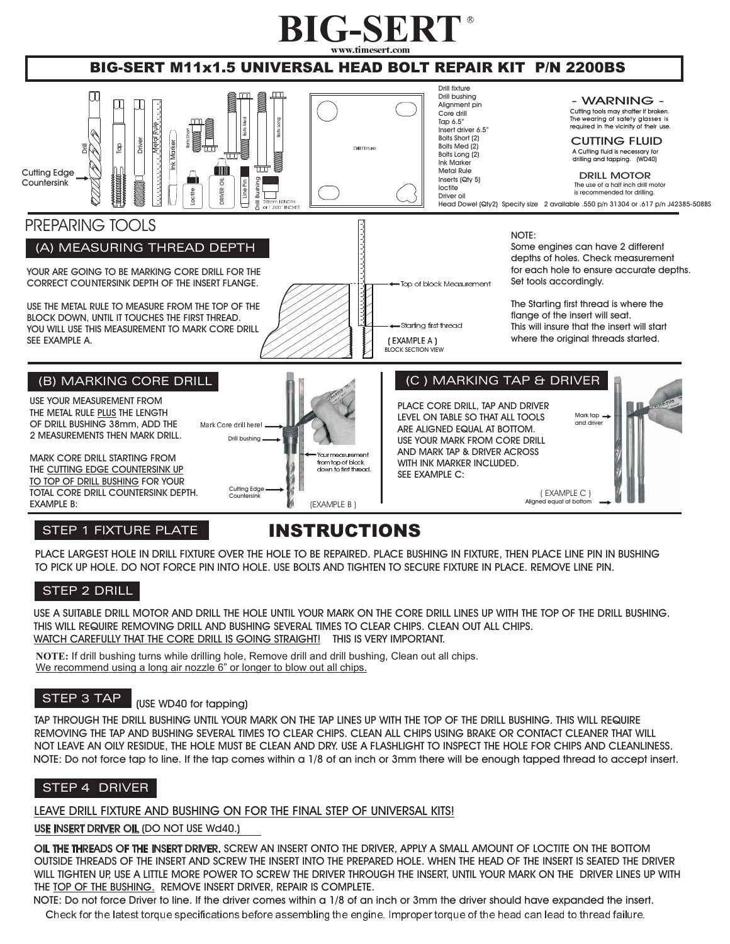

### BIG-SERT M11x1.5 UNIVERSAL HEAD BOLT REPAIR KIT P/N 2200BS



#### STEP 1 FIXTURE PLATE

## INSTRUCTIONS

PLACE LARGEST HOLE IN DRILL FIXTURE OVER THE HOLE TO BE REPAIRED. PLACE BUSHING IN FIXTURE, THEN PLACE LINE PIN IN BUSHING TO PICK UP HOLE. DO NOT FORCE PIN INTO HOLE. USE BOLTS AND TIGHTEN TO SECURE FIXTURE IN PLACE. REMOVE LINE PIN.

#### STEP 2 DRILL

USE A SUITABLE DRILL MOTOR AND DRILL THE HOLE UNTIL YOUR MARK ON THE CORE DRILL LINES UP WITH THE TOP OF THE DRILL BUSHING. THIS WILL REQUIRE REMOVING DRILL AND BUSHING SEVERAL TIMES TO CLEAR CHIPS. CLEAN OUT ALL CHIPS. WATCH CAREFULLY THAT THE CORE DRILL IS GOING STRAIGHT! THIS IS VERY IMPORTANT.

**NOTE:** If drill bushing turns while drilling hole, Remove drill and drill bushing, Clean out all chips. We recommend using a long air nozzle 6" or longer to blow out all chips.

#### STEP 3 TAP

#### (USE WD40 for tapping)

TAP THROUGH THE DRILL BUSHING UNTIL YOUR MARK ON THE TAP LINES UP WITH THE TOP OF THE DRILL BUSHING. THIS WILL REQUIRE REMOVING THE TAP AND BUSHING SEVERAL TIMES TO CLEAR CHIPS. CLEAN ALL CHIPS USING BRAKE OR CONTACT CLEANER THAT WILL NOT LEAVE AN OILY RESIDUE, THE HOLE MUST BE CLEAN AND DRY. USE A FLASHLIGHT TO INSPECT THE HOLE FOR CHIPS AND CLEANLINESS. NOTE: Do not force tap to line. If the tap comes within a 1/8 of an inch or 3mm there will be enough tapped thread to accept insert.

#### STEP 4 DRIVER

#### LEAVE DRILL FIXTURE AND BUSHING ON FOR THE FINAL STEP OF UNIVERSAL KITS!

USE INSERT DRIVER OIL (DO NOT USE Wd40.)

OIL THE THREADS OF THE INSERT DRIVER. SCREW AN INSERT ONTO THE DRIVER, APPLY A SMALL AMOUNT OF LOCTITE ON THE BOTTOM OUTSIDE THREADS OF THE INSERT AND SCREW THE INSERT INTO THE PREPARED HOLE. WHEN THE HEAD OF THE INSERT IS SEATED THE DRIVER WILL TIGHTEN UP, USE A LITTLE MORE POWER TO SCREW THE DRIVER THROUGH THE INSERT, UNTIL YOUR MARK ON THE DRIVER LINES UP WITH THE TOP OF THE BUSHING. REMOVE INSERT DRIVER, REPAIR IS COMPLETE.

Check for the latest torque specifications before assembling the engine. Improper torque of the head can lead to thread failure. NOTE: Do not force Driver to line. If the driver comes within a 1/8 of an inch or 3mm the driver should have expanded the insert.